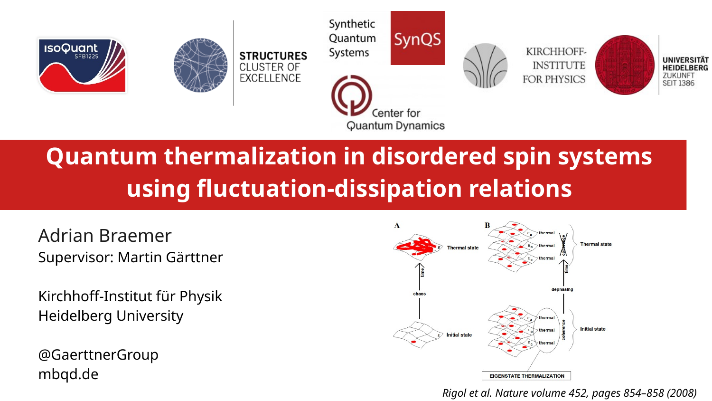

# **Quantum thermalization in disordered spin systems using fluctuation-dissipation relations**

Adrian Braemer Supervisor: Martin Gärttner

Kirchhoff-Institut für Physik Heidelberg University

@GaerttnerGroup mbqd.de



*Rigol et al. Nature volume 452, pages 854–858 (2008)*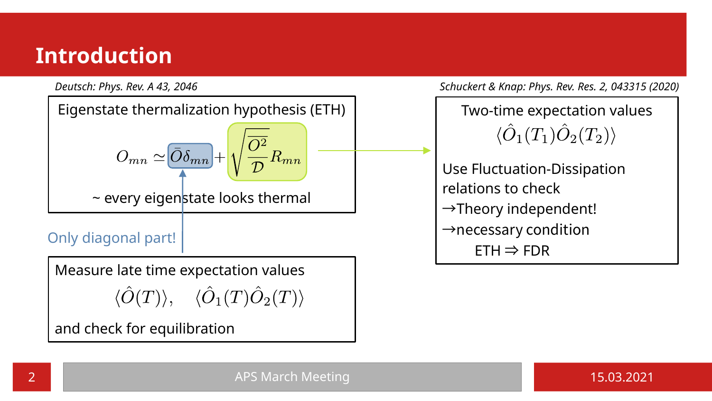## **Introduction**



*Deutsch: Phys. Rev. A 43, 2046 Schuckert & Knap: Phys. Rev. Res. 2, 043315 (2020)*

Two-time expectation values  $\langle \hat{O}_1(T_1) \hat{O}_2(T_2) \rangle$ 

Use Fluctuation-Dissipation relations to check  $\rightarrow$ Theory independent!  $\rightarrow$ necessary condition  $ETH \Rightarrow FDR$ 

2 APS March Meeting 15.03.2021 2 APS March Meeting 15.03.2021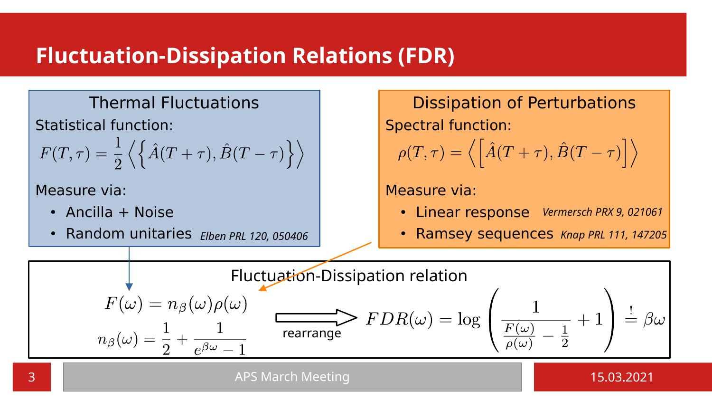## **Fluctuation-Dissipation Relations (FDR)**

#### Thermal Fluctuations

Statistical function:

$$
F(T,\tau) = \frac{1}{2} \left\langle \left\{ \hat{A}(T+\tau), \hat{B}(T-\tau) \right\} \right\rangle
$$

Measure via:

- $\cdot$  Ancilla + Noise
- Random unitaries *Elben PRL 120, 050406*

Dissipation of Perturbations Spectral function:  $\rho(T,\tau)=\langle\left[\hat{A}(T+\tau),\hat{B}(T-\tau)\right]\rangle$ 

#### Measure via:

- Linear response *Vermersch PRX 9, 021061*
- Ramsey sequences *Knap PRL 111, 147205*



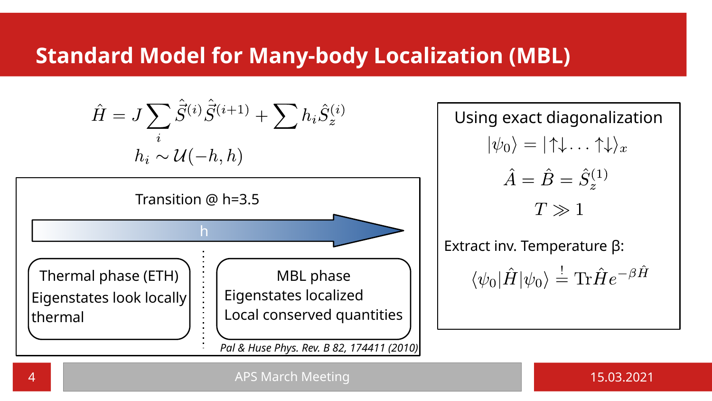## **Standard Model for Many-body Localization (MBL)**

Using exact diagonalization Extract inv. Temperature β: h Transition @ h=3.5 Thermal phase (ETH) Eigenstates look locally thermal MBL phase Eigenstates localized Local conserved quantities *Pal & Huse Phys. Rev. B 82, 174411 (2010)*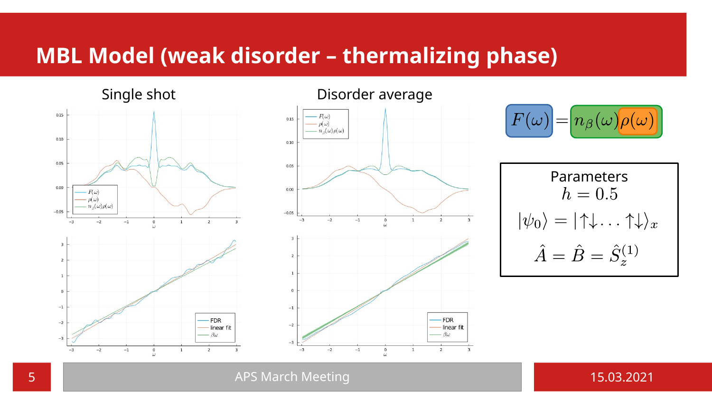#### **MBL Model (weak disorder – thermalizing phase)**

 $0.15$  $0.10$ 0.05  $0.00$  $F(\omega)$  $\rho(\omega)$  $n_s(\omega)\rho(\omega)$  $-0.05$  $-2$  $\overline{3}$  $-3$  $^{-1}$ **FDR**  $-2$ linear fit  $-\beta\omega$  $-3$ 

 $\overline{2}$ 



Single shot **Disorder average** 



Parameters  $h=0.5$  $|\psi_0\rangle = |\uparrow\downarrow \dots \uparrow\downarrow\rangle_x$ <br> $\hat{A} = \hat{B} = \hat{S}_z^{(1)}$ 

**5 APS March Meeting 15.03.2021 15.03.2021** 



 $-3$ 

 $-2$ 

 $^{-1}$ 

 $\frac{0}{\omega}$ 

 $\mathbf{1}$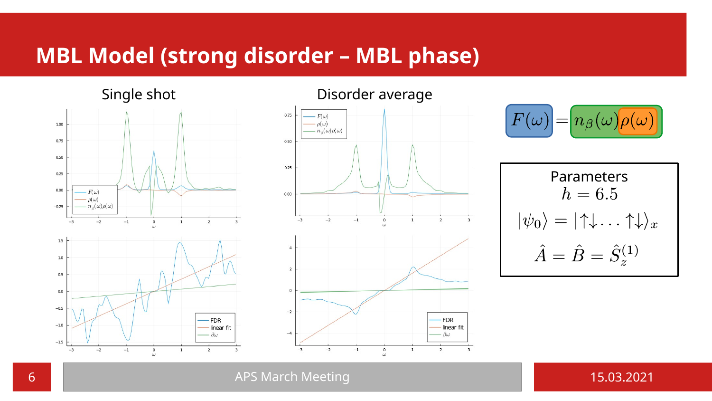## **MBL Model (strong disorder – MBL phase)**



#### Single shot **Disorder average**



$$
F(\omega) = n_{\beta}(\omega) \rho(\omega)
$$

$$
\begin{aligned}\n\text{Parameters} \\
h &= 6.5 \\
|\psi_0\rangle &= |\uparrow\downarrow \dots \uparrow\downarrow\rangle_x \\
\hat{A} &= \hat{B} = \hat{S}_z^{(1)}\n\end{aligned}
$$

**6 APS March Meeting 15.03.2021 15.03.2021**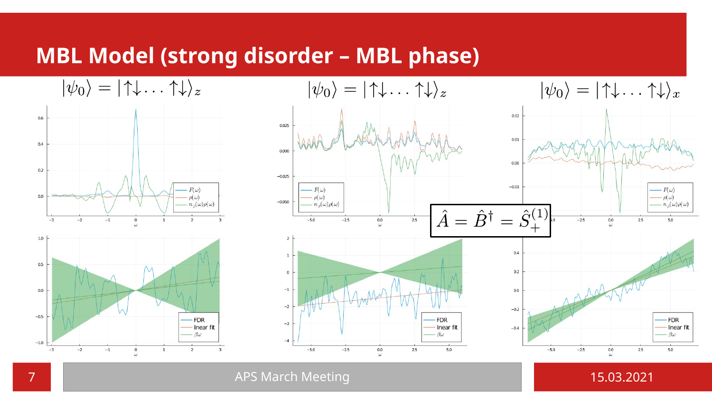#### **MBL Model (strong disorder – MBL phase)**



**7** APS March Meeting 15.03.2021 15.03.2021